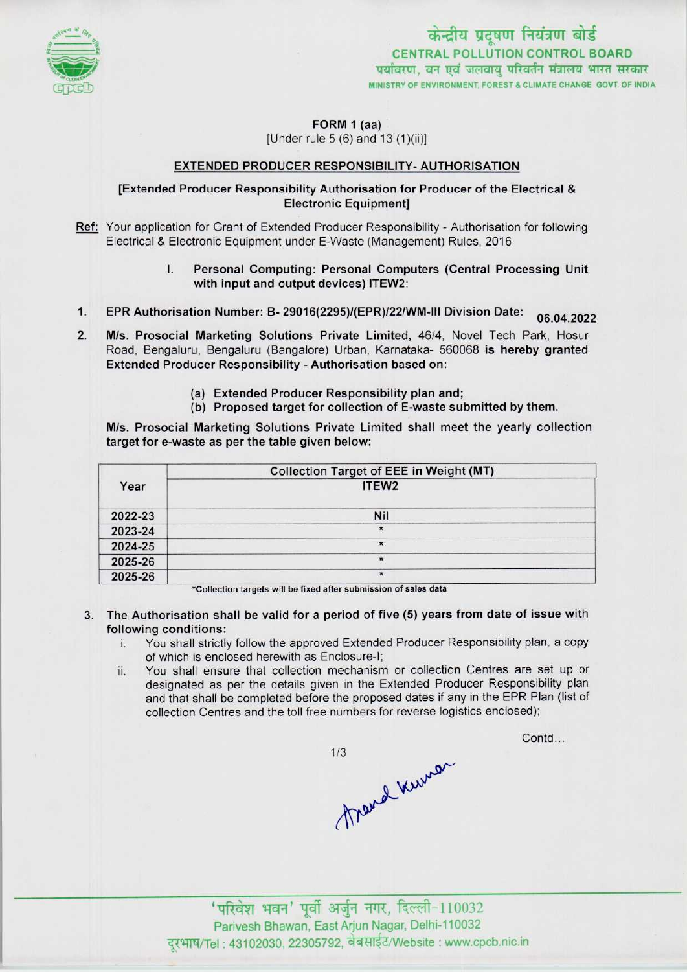

केन्द्रीय प्रदूषण नियंत्रण बोर्ड CENTRAL POLLUTION CONTROL BOARD<br>पर्यावरण, वन एवं जलवायु परिवर्तन मंत्रालय भारत सरकार MINISTRY OF ENVIRONMENT, FOREST & CLIMATE CHANGE GOVT. OF INDIA

FORM 1 (aa)

[Under rule 5 (6) and 13 (1)(ii)]

### EXTENDED PRODUCER RESPONSIBILITY- AUTHORISATION

## [Extended Producer Responsibility Authorisation for Producer ofthe Electrical & Electronic Equipment]

- Ref: Your application for Grant of Extended Producer Responsibility Authorisation for following Electrical & Electronic Equipment under E-Waste (Management) Rules, 2016
	- I. Personal Computing: Personal Computers(Central Processing Unit with input and output devices) ITEW2:
- 1. EPR Authorisation Number: B- 29016(2295)/(EPR)/22/WM-III Division Date: 06.04.2022
- 2.M/s. Prosocial Marketing Solutions Private Limited, 46/4, Novel Tech Park, Hosur Road, Bengaluru, Bengaluru (Bangalore) Urban, Karnataka- 560068 is hereby granted Extended Producer Responsibility - Authorisation based on:
	- (a)Extended Producer Responsibility plan and;
	- (b) Proposed target for collection of E-waste submitted by them.

M/s. Prosocial Marketing Solutions Private Limited shall meet the yearly collection target for e-waste as per the table given below:

|         | <b>Collection Target of EEE in Weight (MT)</b> |
|---------|------------------------------------------------|
| Year    | ITEW <sub>2</sub>                              |
| 2022-23 | Nil                                            |
| 2023-24 | $\star$                                        |
| 2024-25 | $\star$                                        |
| 2025-26 | $\star$                                        |
| 2025-26 | ×                                              |

\*Collection targets will be fixed after submission of sales data

- 3. The Authorisation shall be valid for a period of five (5) years from date of issue with following conditions:
	- i. You shall strictly follow the approved Extended Producer Responsibility plan, <sup>a</sup> copy of which is enclosed herewith as Enclosure-I;
	- ii. You shall ensure that collection mechanism or collection Centres are set up or designated as per the details given in the Extended Producer Responsibility plan and that shall be completed before the proposed dates if any in the EPR Plan (list of collection Centres and the toll free numbers for reverse logistics enclosed);

 $1/3$ Mand Kerner Contd...

' परिवेश भवन' पूर्वी अर्जुन नगर, दिल्ली-110032 Parivesh Bhawan, EastArjun Nagar, Delhi-110032 दरभाष/Tel: 43102030, 22305792, वेबसाईट/Website : www.cpcb.nic.in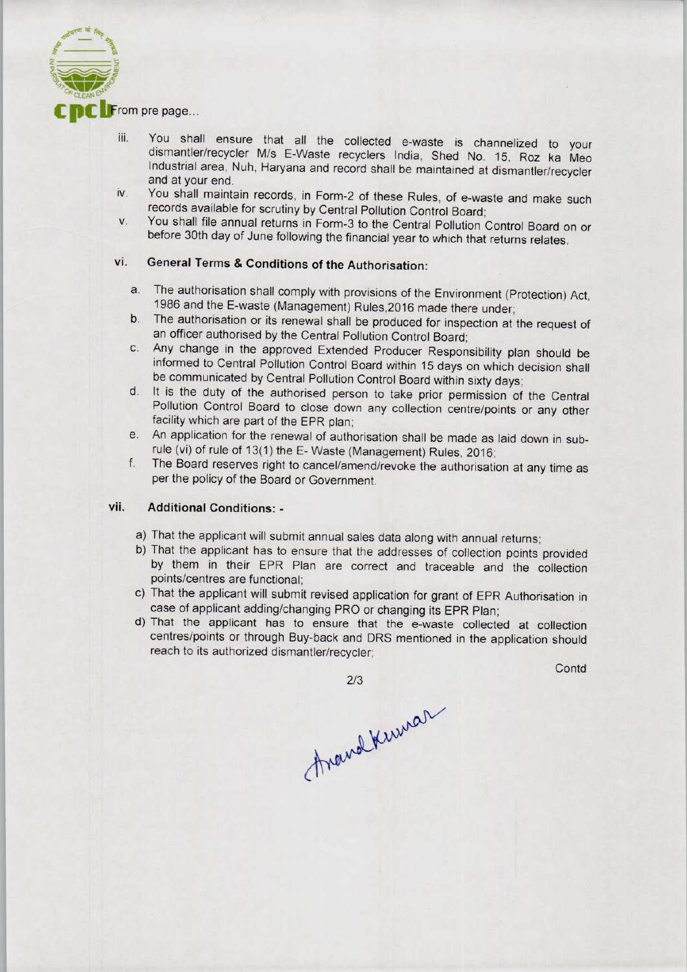

- iii. You shall ensure that all the collected e-waste is channelized to your dismantler/recycler M/s E-Waste recyclers India, Shed No. 15, Roz ka Meo Industrial area, Nuh, Haryana and record shall be maintained at dismantler/recycler and at your end.
- iv. You shall maintain records, in Form-2 of these Rules, of e-waste and make such records available for scrutiny by Central Pollution Control Board;
- v. You shall file annual returns in Form-3 to the Central Pollution Control Board on or before 30th day of June following the financial year to which that returns relates.

# vi. General Terms & Conditions of the Authorisation:

- a. The authorisation shall comply with provisions of the Environment (Protection) Act, 1986 and the E-waste (Management) Rules,2016 made there under;
- b.The authorisation or its renewal shall be produced for inspection at the request of an officer authorised by the Central Pollution Control Board;
- c.Any change in the approved Extended Producer Responsibility plan should be informed to Central Pollution Control Board within 15 days on which decision shall be communicated by Central Pollution Control Board within sixty days;
- d. It is the duty of the authorised person to take prior permission of the Central Pollution Control Board to close down any collection centre/points or any other facility which are part of the EPR plan;
- e. An application for the renewal of authorisation shall be made as laid down in subrule (vi) of rule of 13(1) the E- Waste (Management) Rules, 2016;
- f. The Board reserves right to cancel/amend/revoke the authorisation at any time as per the policy of the Board or Government.

## vii. Additional Conditions: -

- a)That the applicant will submit annual sales data along with annual returns;
- b) That the applicant has to ensure that the addresses of collection points provided by them in their EPR Plan are correct and traceable and the collection points/centres are functional;
- c) That the applicant will submit revised application for grant of EPR Authorisation in case of applicant adding/changing PRO or changing its EPR Plan;
- d)That the applicant has to ensure that the e-waste collected at collection centres/points or through Buy-back and DRS mentioned in the application should reach to its authorized dismantler/recycler;

2/3

**Contd** 

Around Kumar